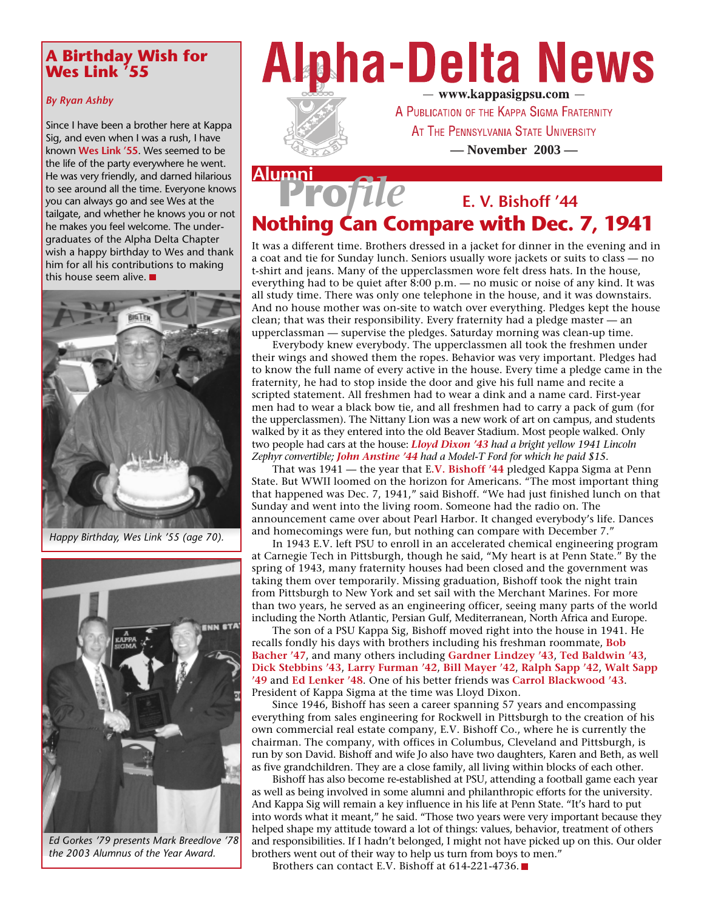### **A Birthday Wish for Wes Link '55**

### *By Ryan Ashby*

Since I have been a brother here at Kappa Sig, and even when I was a rush, I have known **Wes Link '55**. Wes seemed to be the life of the party everywhere he went. He was very friendly, and darned hilarious to see around all the time. Everyone knows you can always go and see Wes at the tailgate, and whether he knows you or not he makes you feel welcome. The undergraduates of the Alpha Delta Chapter wish a happy birthday to Wes and thank him for all his contributions to making this house seem alive.



*Happy Birthday, Wes Link '55 (age 70).*



*Ed Gorkes '79 presents Mark Breedlove '78 the 2003 Alumnus of the Year Award.*

# **Alpha-Delta News**



- www.kappasigpsu.com -A PUBLICATION OF THE KAPPA SIGMA FRATERNITY AT THE PENNSYLVANIA STATE UNIVERSITY **— November 2003 —**

### **Pro***file* **Alumni E. V. Bishoff '44 Nothing Can Compare with Dec. 7, 1941**

It was a different time. Brothers dressed in a jacket for dinner in the evening and in a coat and tie for Sunday lunch. Seniors usually wore jackets or suits to class — no t-shirt and jeans. Many of the upperclassmen wore felt dress hats. In the house, everything had to be quiet after 8:00 p.m. — no music or noise of any kind. It was all study time. There was only one telephone in the house, and it was downstairs. And no house mother was on-site to watch over everything. Pledges kept the house clean; that was their responsibility. Every fraternity had a pledge master — an upperclassman — supervise the pledges. Saturday morning was clean-up time.

Everybody knew everybody. The upperclassmen all took the freshmen under their wings and showed them the ropes. Behavior was very important. Pledges had to know the full name of every active in the house. Every time a pledge came in the fraternity, he had to stop inside the door and give his full name and recite a scripted statement. All freshmen had to wear a dink and a name card. First-year men had to wear a black bow tie, and all freshmen had to carry a pack of gum (for the upperclassmen). The Nittany Lion was a new work of art on campus, and students walked by it as they entered into the old Beaver Stadium. Most people walked. Only two people had cars at the house: *Lloyd Dixon '43 had a bright yellow 1941 Lincoln Zephyr convertible; John Anstine '44 had a Model-T Ford for which he paid \$15.*

That was 1941 — the year that E**.V. Bishoff '44** pledged Kappa Sigma at Penn State. But WWII loomed on the horizon for Americans. "The most important thing that happened was Dec. 7, 1941," said Bishoff. "We had just finished lunch on that Sunday and went into the living room. Someone had the radio on. The announcement came over about Pearl Harbor. It changed everybody's life. Dances and homecomings were fun, but nothing can compare with December 7."

In 1943 E.V. left PSU to enroll in an accelerated chemical engineering program at Carnegie Tech in Pittsburgh, though he said, "My heart is at Penn State." By the spring of 1943, many fraternity houses had been closed and the government was taking them over temporarily. Missing graduation, Bishoff took the night train from Pittsburgh to New York and set sail with the Merchant Marines. For more than two years, he served as an engineering officer, seeing many parts of the world including the North Atlantic, Persian Gulf, Mediterranean, North Africa and Europe.

The son of a PSU Kappa Sig, Bishoff moved right into the house in 1941. He recalls fondly his days with brothers including his freshman roommate, **Bob Bacher '47**, and many others including **Gardner Lindzey '43**, **Ted Baldwin '43**, **Dick Stebbins '43**, **Larry Furman '42**, **Bill Mayer '42**, **Ralph Sapp '42**, **Walt Sapp '49** and **Ed Lenker '48**. One of his better friends was **Carrol Blackwood '43**. President of Kappa Sigma at the time was Lloyd Dixon.

Since 1946, Bishoff has seen a career spanning 57 years and encompassing everything from sales engineering for Rockwell in Pittsburgh to the creation of his own commercial real estate company, E.V. Bishoff Co., where he is currently the chairman. The company, with offices in Columbus, Cleveland and Pittsburgh, is run by son David. Bishoff and wife Jo also have two daughters, Karen and Beth, as well as five grandchildren. They are a close family, all living within blocks of each other.

Bishoff has also become re-established at PSU, attending a football game each year as well as being involved in some alumni and philanthropic efforts for the university. And Kappa Sig will remain a key influence in his life at Penn State. "It's hard to put into words what it meant," he said. "Those two years were very important because they helped shape my attitude toward a lot of things: values, behavior, treatment of others and responsibilities. If I hadn't belonged, I might not have picked up on this. Our older brothers went out of their way to help us turn from boys to men."

Brothers can contact E.V. Bishoff at 614-221-4736.■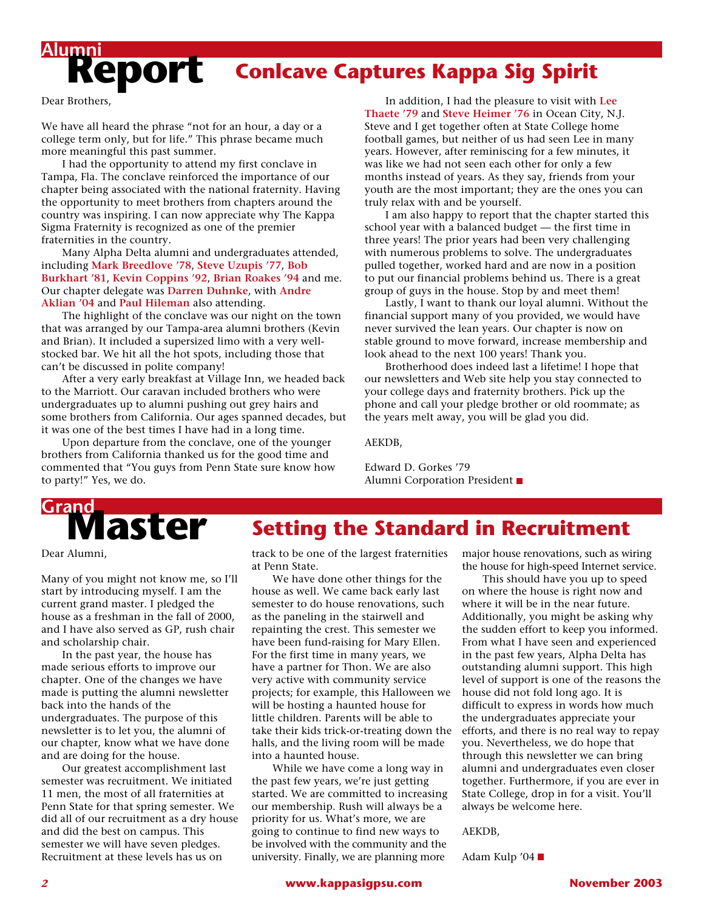### **Conlcave Captures Kappa Sig Spirit**

Dear Brothers,

**Report Alumni**

We have all heard the phrase "not for an hour, a day or a college term only, but for life." This phrase became much more meaningful this past summer.

I had the opportunity to attend my first conclave in Tampa, Fla. The conclave reinforced the importance of our chapter being associated with the national fraternity. Having the opportunity to meet brothers from chapters around the country was inspiring. I can now appreciate why The Kappa Sigma Fraternity is recognized as one of the premier fraternities in the country.

Many Alpha Delta alumni and undergraduates attended, including **Mark Breedlove '78**, **Steve Uzupis '77**, **Bob Burkhart '81**, **Kevin Coppins '92**, **Brian Roakes '94** and me. Our chapter delegate was **Darren Duhnke**, with **Andre Aklian '04** and **Paul Hileman** also attending.

The highlight of the conclave was our night on the town that was arranged by our Tampa-area alumni brothers (Kevin and Brian). It included a supersized limo with a very wellstocked bar. We hit all the hot spots, including those that can't be discussed in polite company!

After a very early breakfast at Village Inn, we headed back to the Marriott. Our caravan included brothers who were undergraduates up to alumni pushing out grey hairs and some brothers from California. Our ages spanned decades, but it was one of the best times I have had in a long time.

Upon departure from the conclave, one of the younger brothers from California thanked us for the good time and commented that "You guys from Penn State sure know how to party!" Yes, we do.

In addition, I had the pleasure to visit with **Lee Thaete '79** and **Steve Heimer '76** in Ocean City, N.J. Steve and I get together often at State College home football games, but neither of us had seen Lee in many years. However, after reminiscing for a few minutes, it was like we had not seen each other for only a few months instead of years. As they say, friends from your youth are the most important; they are the ones you can truly relax with and be yourself.

I am also happy to report that the chapter started this school year with a balanced budget — the first time in three years! The prior years had been very challenging with numerous problems to solve. The undergraduates pulled together, worked hard and are now in a position to put our financial problems behind us. There is a great group of guys in the house. Stop by and meet them!

Lastly, I want to thank our loyal alumni. Without the financial support many of you provided, we would have never survived the lean years. Our chapter is now on stable ground to move forward, increase membership and look ahead to the next 100 years! Thank you.

Brotherhood does indeed last a lifetime! I hope that our newsletters and Web site help you stay connected to your college days and fraternity brothers. Pick up the phone and call your pledge brother or old roommate; as the years melt away, you will be glad you did.

AEKDB,

Edward D. Gorkes '79 Alumni Corporation President

## **Master Grand**

**Setting the Standard in Recruitment**

Dear Alumni,

Many of you might not know me, so I'll start by introducing myself. I am the current grand master. I pledged the house as a freshman in the fall of 2000, and I have also served as GP, rush chair and scholarship chair.

In the past year, the house has made serious efforts to improve our chapter. One of the changes we have made is putting the alumni newsletter back into the hands of the undergraduates. The purpose of this newsletter is to let you, the alumni of our chapter, know what we have done and are doing for the house.

Our greatest accomplishment last semester was recruitment. We initiated 11 men, the most of all fraternities at Penn State for that spring semester. We did all of our recruitment as a dry house and did the best on campus. This semester we will have seven pledges. Recruitment at these levels has us on

track to be one of the largest fraternities at Penn State.

We have done other things for the house as well. We came back early last semester to do house renovations, such as the paneling in the stairwell and repainting the crest. This semester we have been fund-raising for Mary Ellen. For the first time in many years, we have a partner for Thon. We are also very active with community service projects; for example, this Halloween we will be hosting a haunted house for little children. Parents will be able to take their kids trick-or-treating down the halls, and the living room will be made into a haunted house.

While we have come a long way in the past few years, we're just getting started. We are committed to increasing our membership. Rush will always be a priority for us. What's more, we are going to continue to find new ways to be involved with the community and the university. Finally, we are planning more

major house renovations, such as wiring the house for high-speed Internet service.

This should have you up to speed on where the house is right now and where it will be in the near future. Additionally, you might be asking why the sudden effort to keep you informed. From what I have seen and experienced in the past few years, Alpha Delta has outstanding alumni support. This high level of support is one of the reasons the house did not fold long ago. It is difficult to express in words how much the undergraduates appreciate your efforts, and there is no real way to repay you. Nevertheless, we do hope that through this newsletter we can bring alumni and undergraduates even closer together. Furthermore, if you are ever in State College, drop in for a visit. You'll always be welcome here.

AEKDB,

Adam Kulp '04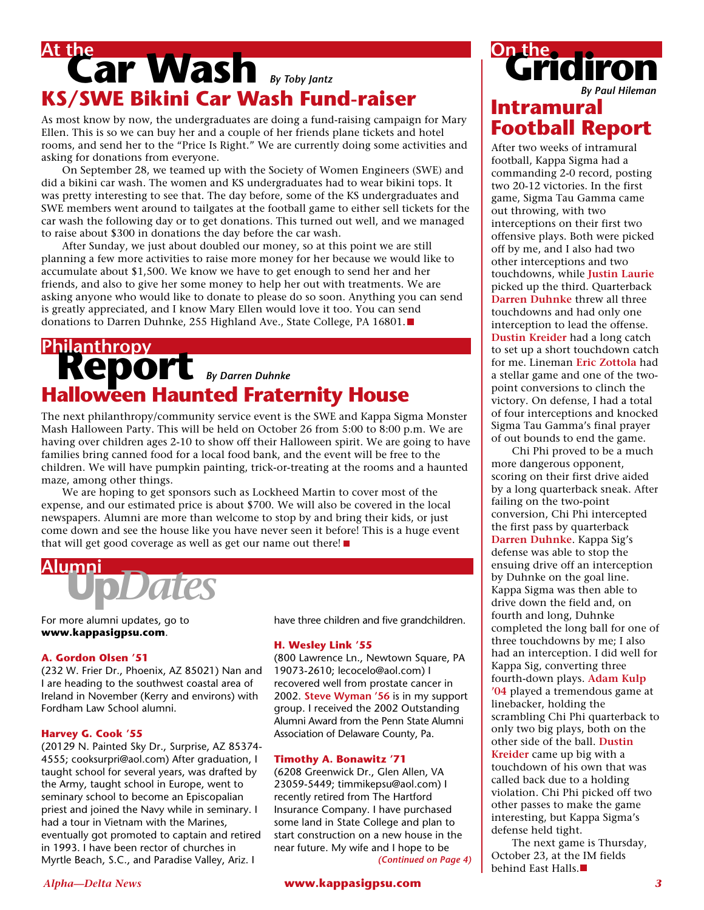### **Car Wash** *By Toby Jantz* **At the KS/SWE Bikini Car Wash Fund-raiser**

As most know by now, the undergraduates are doing a fund-raising campaign for Mary Ellen. This is so we can buy her and a couple of her friends plane tickets and hotel rooms, and send her to the "Price Is Right." We are currently doing some activities and asking for donations from everyone.

On September 28, we teamed up with the Society of Women Engineers (SWE) and did a bikini car wash. The women and KS undergraduates had to wear bikini tops. It was pretty interesting to see that. The day before, some of the KS undergraduates and SWE members went around to tailgates at the football game to either sell tickets for the car wash the following day or to get donations. This turned out well, and we managed to raise about \$300 in donations the day before the car wash.

After Sunday, we just about doubled our money, so at this point we are still planning a few more activities to raise more money for her because we would like to accumulate about \$1,500. We know we have to get enough to send her and her friends, and also to give her some money to help her out with treatments. We are asking anyone who would like to donate to please do so soon. Anything you can send is greatly appreciated, and I know Mary Ellen would love it too. You can send donations to Darren Duhnke, 255 Highland Ave., State College, PA 16801.

### **Report** *By Darren Duhnke* **Philanthropy Halloween Haunted Fraternity House**

The next philanthropy/community service event is the SWE and Kappa Sigma Monster Mash Halloween Party. This will be held on October 26 from 5:00 to 8:00 p.m. We are having over children ages 2-10 to show off their Halloween spirit. We are going to have families bring canned food for a local food bank, and the event will be free to the children. We will have pumpkin painting, trick-or-treating at the rooms and a haunted maze, among other things.

We are hoping to get sponsors such as Lockheed Martin to cover most of the expense, and our estimated price is about \$700. We will also be covered in the local newspapers. Alumni are more than welcome to stop by and bring their kids, or just come down and see the house like you have never seen it before! This is a huge event that will get good coverage as well as get our name out there!



For more alumni updates, go to **www.kappasigpsu.com**.

### **A. Gordon Olsen '51**

(232 W. Frier Dr., Phoenix, AZ 85021) Nan and I are heading to the southwest coastal area of Ireland in November (Kerry and environs) with Fordham Law School alumni.

### **Harvey G. Cook '55**

(20129 N. Painted Sky Dr., Surprise, AZ 85374- 4555; cooksurpri@aol.com) After graduation, I taught school for several years, was drafted by the Army, taught school in Europe, went to seminary school to become an Episcopalian priest and joined the Navy while in seminary. I had a tour in Vietnam with the Marines, eventually got promoted to captain and retired in 1993. I have been rector of churches in Myrtle Beach, S.C., and Paradise Valley, Ariz. I

have three children and five grandchildren.

### **H. Wesley Link '55**

(800 Lawrence Ln., Newtown Square, PA 19073-2610; lecocelo@aol.com) I recovered well from prostate cancer in 2002. **Steve Wyman '56** is in my support group. I received the 2002 Outstanding Alumni Award from the Penn State Alumni Association of Delaware County, Pa.

### **Timothy A. Bonawitz '71**

(6208 Greenwick Dr., Glen Allen, VA 23059-5449; timmikepsu@aol.com) I recently retired from The Hartford Insurance Company. I have purchased some land in State College and plan to start construction on a new house in the near future. My wife and I hope to be *(Continued on Page 4)*

### **Gridire Intramural Football Report** *By Paul Hileman*

After two weeks of intramural football, Kappa Sigma had a commanding 2-0 record, posting two 20-12 victories. In the first game, Sigma Tau Gamma came out throwing, with two interceptions on their first two offensive plays. Both were picked off by me, and I also had two other interceptions and two touchdowns, while **Justin Laurie** picked up the third. Quarterback **Darren Duhnke** threw all three touchdowns and had only one interception to lead the offense. **Dustin Kreider** had a long catch to set up a short touchdown catch for me. Lineman **Eric Zottola** had a stellar game and one of the twopoint conversions to clinch the victory. On defense, I had a total of four interceptions and knocked Sigma Tau Gamma's final prayer of out bounds to end the game.

Chi Phi proved to be a much more dangerous opponent, scoring on their first drive aided by a long quarterback sneak. After failing on the two-point conversion, Chi Phi intercepted the first pass by quarterback **Darren Duhnke**. Kappa Sig's defense was able to stop the ensuing drive off an interception by Duhnke on the goal line. Kappa Sigma was then able to drive down the field and, on fourth and long, Duhnke completed the long ball for one of three touchdowns by me; I also had an interception. I did well for Kappa Sig, converting three fourth-down plays. **Adam Kulp '04** played a tremendous game at linebacker, holding the scrambling Chi Phi quarterback to only two big plays, both on the other side of the ball. **Dustin Kreider** came up big with a touchdown of his own that was called back due to a holding violation. Chi Phi picked off two other passes to make the game interesting, but Kappa Sigma's defense held tight.

The next game is Thursday, October 23, at the IM fields behind East Halls.

*Alpha—Delta News* **www.kappasigpsu.com** *3*